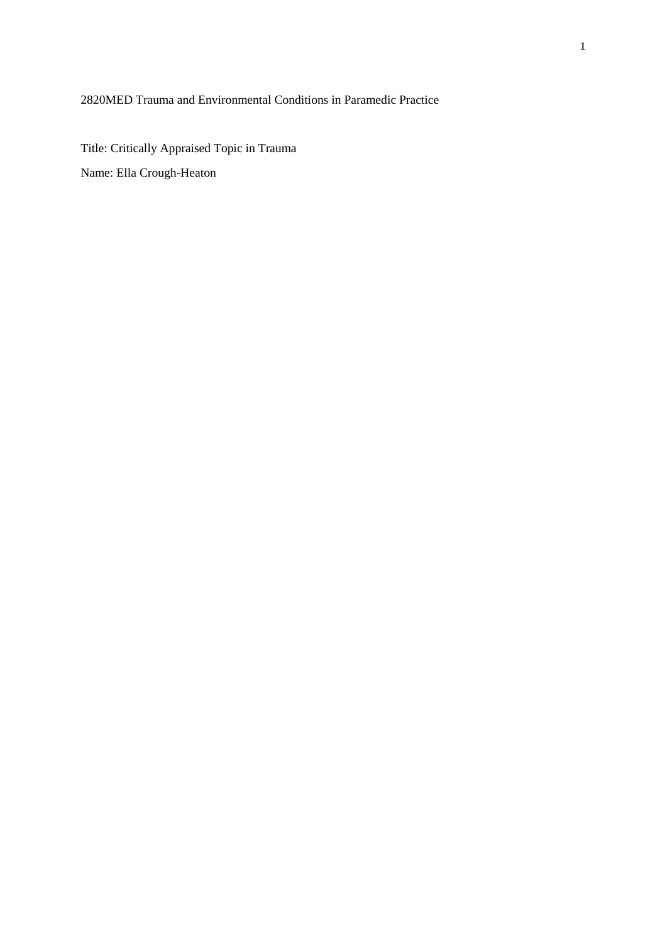2820MED Trauma and Environmental Conditions in Paramedic Practice

Title: Critically Appraised Topic in Trauma Name: Ella Crough-Heaton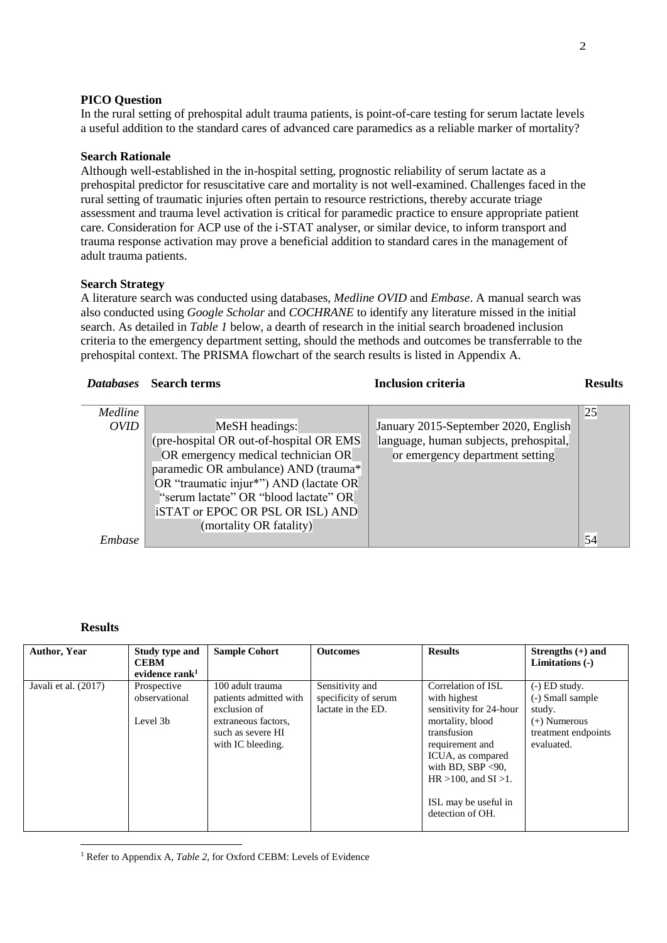### **PICO Question**

In the rural setting of prehospital adult trauma patients, is point-of-care testing for serum lactate levels a useful addition to the standard cares of advanced care paramedics as a reliable marker of mortality?

### **Search Rationale**

Although well-established in the in-hospital setting, prognostic reliability of serum lactate as a prehospital predictor for resuscitative care and mortality is not well-examined. Challenges faced in the rural setting of traumatic injuries often pertain to resource restrictions, thereby accurate triage assessment and trauma level activation is critical for paramedic practice to ensure appropriate patient care. Consideration for ACP use of the i-STAT analyser, or similar device, to inform transport and trauma response activation may prove a beneficial addition to standard cares in the management of adult trauma patients.

### **Search Strategy**

A literature search was conducted using databases, *Medline OVID* and *Embase*. A manual search was also conducted using *Google Scholar* and *COCHRANE* to identify any literature missed in the initial search. As detailed in *Table 1* below, a dearth of research in the initial search broadened inclusion criteria to the emergency department setting, should the methods and outcomes be transferrable to the prehospital context. The PRISMA flowchart of the search results is listed in Appendix A.

| <b>Databases</b> | <b>Search terms</b>                     | <b>Inclusion criteria</b>              | <b>Results</b> |
|------------------|-----------------------------------------|----------------------------------------|----------------|
|                  |                                         |                                        |                |
| Medline          |                                         |                                        | 25             |
| <i>OVID</i>      | MeSH headings:                          | January 2015-September 2020, English   |                |
|                  | (pre-hospital OR out-of-hospital OR EMS | language, human subjects, prehospital, |                |
|                  | OR emergency medical technician OR      | or emergency department setting        |                |
|                  | paramedic OR ambulance) AND (trauma*    |                                        |                |
|                  | OR "traumatic injur*") AND (lactate OR  |                                        |                |
|                  | "serum lactate" OR "blood lactate" OR   |                                        |                |
|                  | iSTAT or EPOC OR PSL OR ISL) AND        |                                        |                |
|                  | (mortality OR fatality)                 |                                        |                |
| Embase           |                                         |                                        | 54             |
|                  |                                         |                                        |                |

### **Results**

**.** 

| <b>Author, Year</b>  | Study type and<br><b>CEBM</b><br>evidence rank $1$ | <b>Sample Cohort</b>                                                                                                        | <b>Outcomes</b>                                               | <b>Results</b>                                                                                                                                                                                                                              | Strengths $(+)$ and<br>Limitations (-)                                                               |
|----------------------|----------------------------------------------------|-----------------------------------------------------------------------------------------------------------------------------|---------------------------------------------------------------|---------------------------------------------------------------------------------------------------------------------------------------------------------------------------------------------------------------------------------------------|------------------------------------------------------------------------------------------------------|
| Javali et al. (2017) | Prospective<br>observational<br>Level 3b           | 100 adult trauma<br>patients admitted with<br>exclusion of<br>extraneous factors.<br>such as severe HI<br>with IC bleeding. | Sensitivity and<br>specificity of serum<br>lactate in the ED. | Correlation of ISL<br>with highest<br>sensitivity for 24-hour<br>mortality, blood<br>transfusion<br>requirement and<br>ICUA, as compared<br>with BD, SBP $<90$ ,<br>$HR > 100$ , and $SI > 1$ .<br>ISL may be useful in<br>detection of OH. | $(-)$ ED study.<br>(-) Small sample<br>study.<br>$(+)$ Numerous<br>treatment endpoints<br>evaluated. |

<sup>1</sup> Refer to Appendix A, *Table 2*, for Oxford CEBM: Levels of Evidence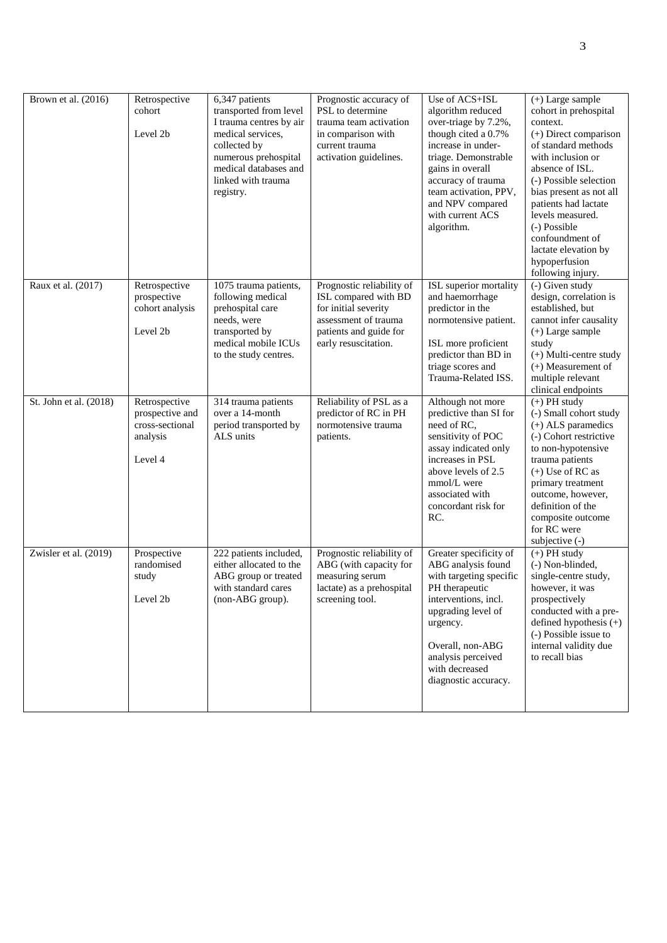| Brown et al. (2016)    | Retrospective<br>cohort<br>Level 2b                                        | 6,347 patients<br>transported from level<br>I trauma centres by air<br>medical services,<br>collected by<br>numerous prehospital<br>medical databases and<br>linked with trauma<br>registry. | Prognostic accuracy of<br>PSL to determine<br>trauma team activation<br>in comparison with<br>current trauma<br>activation guidelines.              | Use of ACS+ISL<br>algorithm reduced<br>over-triage by 7.2%,<br>though cited a 0.7%<br>increase in under-<br>triage. Demonstrable<br>gains in overall<br>accuracy of trauma<br>team activation, PPV,<br>and NPV compared<br>with current ACS<br>algorithm. | $(+)$ Large sample<br>cohort in prehospital<br>context.<br>(+) Direct comparison<br>of standard methods<br>with inclusion or<br>absence of ISL.<br>(-) Possible selection<br>bias present as not all<br>patients had lactate<br>levels measured.<br>(-) Possible<br>confoundment of<br>lactate elevation by<br>hypoperfusion<br>following injury. |
|------------------------|----------------------------------------------------------------------------|----------------------------------------------------------------------------------------------------------------------------------------------------------------------------------------------|-----------------------------------------------------------------------------------------------------------------------------------------------------|-----------------------------------------------------------------------------------------------------------------------------------------------------------------------------------------------------------------------------------------------------------|---------------------------------------------------------------------------------------------------------------------------------------------------------------------------------------------------------------------------------------------------------------------------------------------------------------------------------------------------|
| Raux et al. (2017)     | Retrospective<br>prospective<br>cohort analysis<br>Level 2b                | 1075 trauma patients,<br>following medical<br>prehospital care<br>needs, were<br>transported by<br>medical mobile ICUs<br>to the study centres.                                              | Prognostic reliability of<br>ISL compared with BD<br>for initial severity<br>assessment of trauma<br>patients and guide for<br>early resuscitation. | ISL superior mortality<br>and haemorrhage<br>predictor in the<br>normotensive patient.<br>ISL more proficient<br>predictor than BD in<br>triage scores and<br>Trauma-Related ISS.                                                                         | $(-)$ Given study<br>design, correlation is<br>established, but<br>cannot infer causality<br>$(+)$ Large sample<br>study<br>(+) Multi-centre study<br>$(+)$ Measurement of<br>multiple relevant<br>clinical endpoints                                                                                                                             |
| St. John et al. (2018) | Retrospective<br>prospective and<br>cross-sectional<br>analysis<br>Level 4 | 314 trauma patients<br>over a 14-month<br>period transported by<br>ALS units                                                                                                                 | Reliability of PSL as a<br>predictor of RC in PH<br>normotensive trauma<br>patients.                                                                | Although not more<br>predictive than SI for<br>need of RC,<br>sensitivity of POC<br>assay indicated only<br>increases in PSL<br>above levels of 2.5<br>mmol/L were<br>associated with<br>concordant risk for<br>RC.                                       | $(+)$ PH study<br>(-) Small cohort study<br>(+) ALS paramedics<br>(-) Cohort restrictive<br>to non-hypotensive<br>trauma patients<br>$(+)$ Use of RC as<br>primary treatment<br>outcome, however,<br>definition of the<br>composite outcome<br>for RC were<br>subjective (-)                                                                      |
| Zwisler et al. (2019)  | Prospective<br>randomised<br>study<br>Level 2b                             | 222 patients included,<br>either allocated to the<br>ABG group or treated<br>with standard cares<br>(non-ABG group).                                                                         | Prognostic reliability of<br>ABG (with capacity for<br>measuring serum<br>lactate) as a prehospital<br>screening tool.                              | Greater specificity of<br>ABG analysis found<br>with targeting specific<br>PH therapeutic<br>interventions, incl.<br>upgrading level of<br>urgency.<br>Overall, non-ABG<br>analysis perceived<br>with decreased<br>diagnostic accuracy.                   | $(+)$ PH study<br>(-) Non-blinded,<br>single-centre study,<br>however, it was<br>prospectively<br>conducted with a pre-<br>defined hypothesis $(+)$<br>(-) Possible issue to<br>internal validity due<br>to recall bias                                                                                                                           |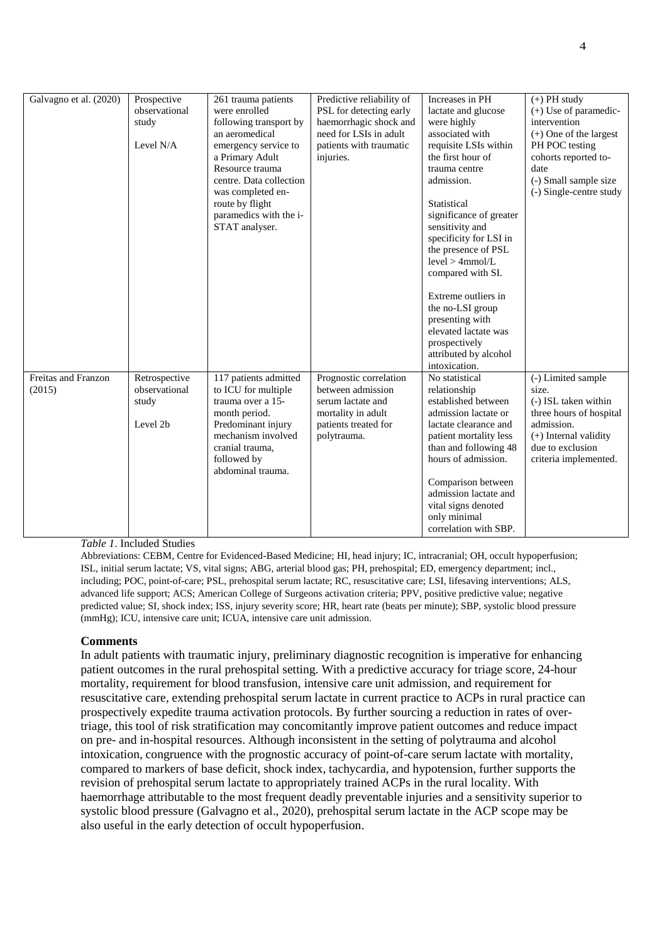| Galvagno et al. (2020)        | Prospective<br>observational<br>study<br>Level N/A  | 261 trauma patients<br>were enrolled<br>following transport by<br>an aeromedical<br>emergency service to<br>a Primary Adult<br>Resource trauma<br>centre. Data collection<br>was completed en-<br>route by flight<br>paramedics with the i-<br>STAT analyser. | Predictive reliability of<br>PSL for detecting early<br>haemorrhagic shock and<br>need for LSIs in adult<br>patients with traumatic<br>injuries. | Increases in PH<br>lactate and glucose<br>were highly<br>associated with<br>requisite LSIs within<br>the first hour of<br>trauma centre<br>admission.<br>Statistical<br>significance of greater<br>sensitivity and<br>specificity for LSI in<br>the presence of PSL<br>level > 4mmol/L<br>compared with SI.<br>Extreme outliers in<br>the no-LSI group<br>presenting with<br>elevated lactate was<br>prospectively<br>attributed by alcohol<br>intoxication. | $(+)$ PH study<br>$(+)$ Use of paramedic-<br>intervention<br>(+) One of the largest<br>PH POC testing<br>cohorts reported to-<br>date<br>(-) Small sample size<br>(-) Single-centre study |
|-------------------------------|-----------------------------------------------------|---------------------------------------------------------------------------------------------------------------------------------------------------------------------------------------------------------------------------------------------------------------|--------------------------------------------------------------------------------------------------------------------------------------------------|--------------------------------------------------------------------------------------------------------------------------------------------------------------------------------------------------------------------------------------------------------------------------------------------------------------------------------------------------------------------------------------------------------------------------------------------------------------|-------------------------------------------------------------------------------------------------------------------------------------------------------------------------------------------|
| Freitas and Franzon<br>(2015) | Retrospective<br>observational<br>study<br>Level 2b | 117 patients admitted<br>to ICU for multiple<br>trauma over a 15-<br>month period.<br>Predominant injury<br>mechanism involved<br>cranial trauma,<br>followed by<br>abdominal trauma.                                                                         | Prognostic correlation<br>between admission<br>serum lactate and<br>mortality in adult<br>patients treated for<br>polytrauma.                    | No statistical<br>relationship<br>established between<br>admission lactate or<br>lactate clearance and<br>patient mortality less<br>than and following 48<br>hours of admission.<br>Comparison between<br>admission lactate and<br>vital signs denoted<br>only minimal<br>correlation with SBP.                                                                                                                                                              | (-) Limited sample<br>size.<br>(-) ISL taken within<br>three hours of hospital<br>admission.<br>$(+)$ Internal validity<br>due to exclusion<br>criteria implemented.                      |

*Table 1*. Included Studies

Abbreviations: CEBM, Centre for Evidenced-Based Medicine; HI, head injury; IC, intracranial; OH, occult hypoperfusion; ISL, initial serum lactate; VS, vital signs; ABG, arterial blood gas; PH, prehospital; ED, emergency department; incl., including; POC, point-of-care; PSL, prehospital serum lactate; RC, resuscitative care; LSI, lifesaving interventions; ALS, advanced life support; ACS; American College of Surgeons activation criteria; PPV, positive predictive value; negative predicted value; SI, shock index; ISS, injury severity score; HR, heart rate (beats per minute); SBP, systolic blood pressure (mmHg); ICU, intensive care unit; ICUA, intensive care unit admission.

# **Comments**

In adult patients with traumatic injury, preliminary diagnostic recognition is imperative for enhancing patient outcomes in the rural prehospital setting. With a predictive accuracy for triage score, 24-hour mortality, requirement for blood transfusion, intensive care unit admission, and requirement for resuscitative care, extending prehospital serum lactate in current practice to ACPs in rural practice can prospectively expedite trauma activation protocols. By further sourcing a reduction in rates of overtriage, this tool of risk stratification may concomitantly improve patient outcomes and reduce impact on pre- and in-hospital resources. Although inconsistent in the setting of polytrauma and alcohol intoxication, congruence with the prognostic accuracy of point-of-care serum lactate with mortality, compared to markers of base deficit, shock index, tachycardia, and hypotension, further supports the revision of prehospital serum lactate to appropriately trained ACPs in the rural locality. With haemorrhage attributable to the most frequent deadly preventable injuries and a sensitivity superior to systolic blood pressure (Galvagno et al., 2020), prehospital serum lactate in the ACP scope may be also useful in the early detection of occult hypoperfusion.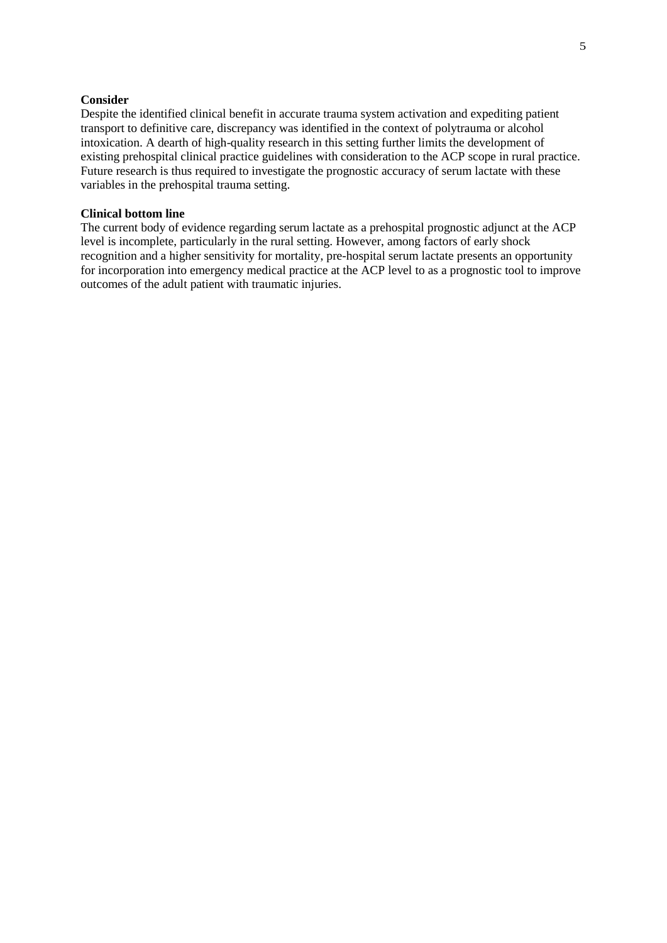## **Consider**

Despite the identified clinical benefit in accurate trauma system activation and expediting patient transport to definitive care, discrepancy was identified in the context of polytrauma or alcohol intoxication. A dearth of high-quality research in this setting further limits the development of existing prehospital clinical practice guidelines with consideration to the ACP scope in rural practice. Future research is thus required to investigate the prognostic accuracy of serum lactate with these variables in the prehospital trauma setting.

### **Clinical bottom line**

The current body of evidence regarding serum lactate as a prehospital prognostic adjunct at the ACP level is incomplete, particularly in the rural setting. However, among factors of early shock recognition and a higher sensitivity for mortality, pre-hospital serum lactate presents an opportunity for incorporation into emergency medical practice at the ACP level to as a prognostic tool to improve outcomes of the adult patient with traumatic injuries.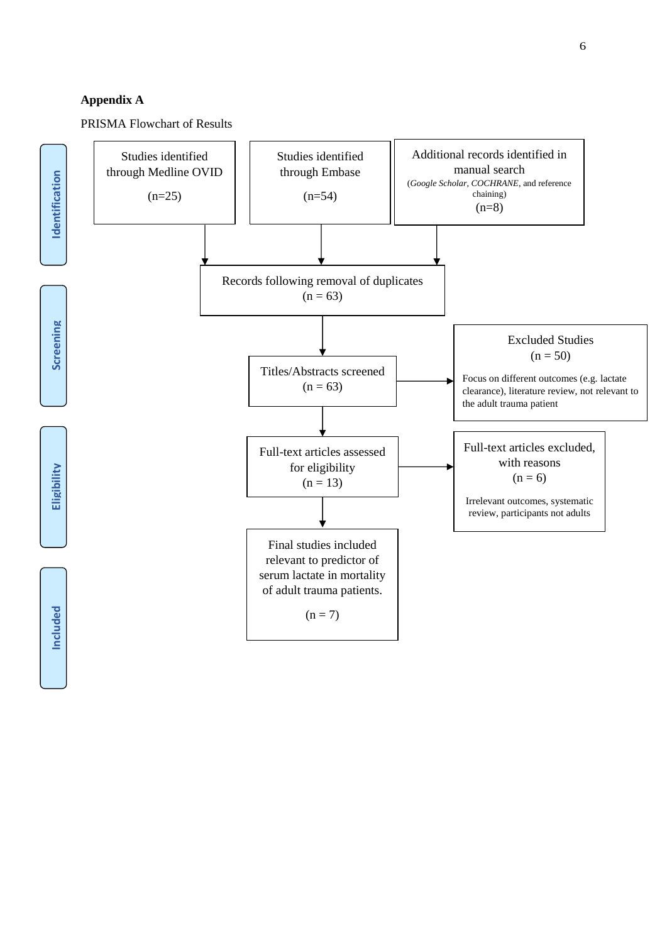# **Appendix A**

PRISMA Flowchart of Results

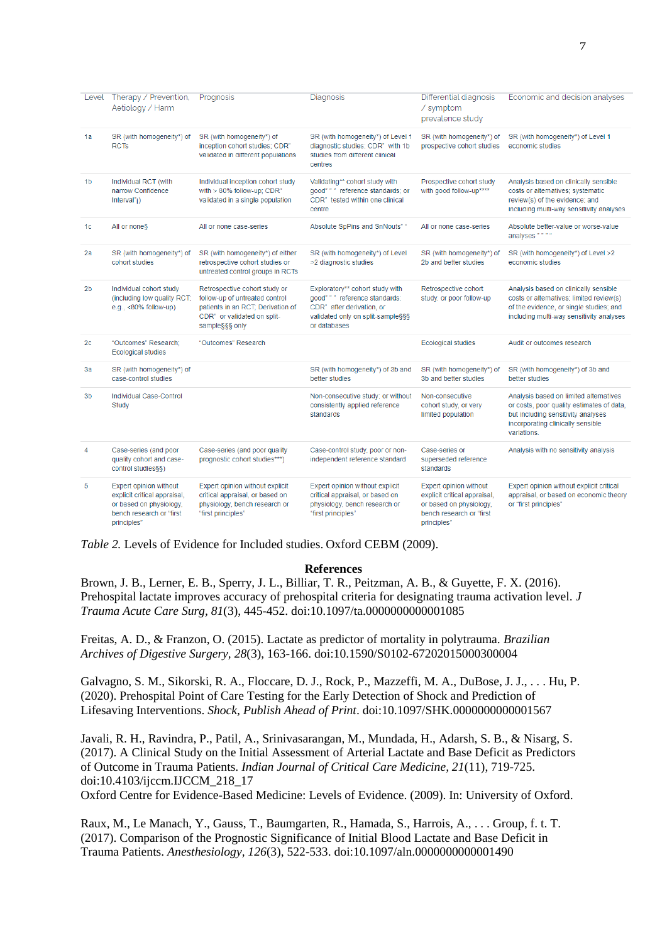|                | Level Therapy / Prevention,<br>Aetiology / Harm                                                                              | Prognosis                                                                                                                                             | Diagnosis                                                                                                                                           | Differential diagnosis<br>/ symptom<br>prevalence study                                                                      | Economic and decision analyses                                                                                                                                                |
|----------------|------------------------------------------------------------------------------------------------------------------------------|-------------------------------------------------------------------------------------------------------------------------------------------------------|-----------------------------------------------------------------------------------------------------------------------------------------------------|------------------------------------------------------------------------------------------------------------------------------|-------------------------------------------------------------------------------------------------------------------------------------------------------------------------------|
| 1a             | SR (with homogeneity*) of<br><b>RCTs</b>                                                                                     | SR (with homogeneity*) of<br>inception cohort studies; CDR"<br>validated in different populations                                                     | SR (with homogeneity*) of Level 1<br>diagnostic studies; CDR" with 1b<br>studies from different clinical<br>centres                                 | SR (with homogeneity*) of<br>prospective cohort studies                                                                      | SR (with homogeneity*) of Level 1<br>economic studies                                                                                                                         |
| 1b             | Individual RCT (with<br>narrow Confidence<br>Interval"i)                                                                     | Individual inception cohort study<br>with > 80% follow-up; CDR"<br>validated in a single population                                                   | Validating** cohort study with<br>good""" reference standards; or<br>CDR" tested within one clinical<br>centre                                      | Prospective cohort study<br>with good follow-up****                                                                          | Analysis based on clinically sensible<br>costs or alternatives; systematic<br>review(s) of the evidence; and<br>including multi-way sensitivity analyses                      |
| 1c             | All or none§                                                                                                                 | All or none case-series                                                                                                                               | Absolute SpPins and SnNouts" "                                                                                                                      | All or none case-series                                                                                                      | Absolute better-value or worse-value<br>analyses"                                                                                                                             |
| 2a             | SR (with homogeneity*) of<br>cohort studies                                                                                  | SR (with homogeneity*) of either<br>retrospective cohort studies or<br>untreated control groups in RCTs                                               | SR (with homogeneity*) of Level<br>>2 diagnostic studies                                                                                            | SR (with homogeneity*) of<br>2b and better studies                                                                           | SR (with homogeneity*) of Level >2<br>economic studies                                                                                                                        |
| 2 <sub>b</sub> | Individual cohort study<br>(including low quality RCT;<br>e.g., $<80\%$ follow-up)                                           | Retrospective cohort study or<br>follow-up of untreated control<br>patients in an RCT; Derivation of<br>CDR" or validated on split-<br>sample§§§ only | Exploratory** cohort study with<br>qood" " " reference standards;<br>CDR" after derivation, or<br>validated only on split-sample§§§<br>or databases | Retrospective cohort<br>study, or poor follow-up                                                                             | Analysis based on clinically sensible<br>costs or alternatives; limited review(s)<br>of the evidence, or single studies; and<br>including multi-way sensitivity analyses      |
| 2c             | "Outcomes" Research;<br><b>Ecological studies</b>                                                                            | "Outcomes" Research                                                                                                                                   |                                                                                                                                                     | <b>Ecological studies</b>                                                                                                    | Audit or outcomes research                                                                                                                                                    |
| 3a             | SR (with homogeneity*) of<br>case-control studies                                                                            |                                                                                                                                                       | SR (with homogeneity*) of 3b and<br>better studies                                                                                                  | SR (with homogeneity*) of<br>3b and better studies                                                                           | SR (with homogeneity*) of 3b and<br>better studies                                                                                                                            |
| 3 <sub>b</sub> | Individual Case-Control<br>Study                                                                                             |                                                                                                                                                       | Non-consecutive study; or without<br>consistently applied reference<br>standards                                                                    | Non-consecutive<br>cohort study, or very<br>limited population                                                               | Analysis based on limited alternatives<br>or costs, poor quality estimates of data,<br>but including sensitivity analyses<br>incorporating clinically sensible<br>variations. |
| 4              | Case-series (and poor<br>quality cohort and case-<br>control studies§§)                                                      | Case-series (and poor quality<br>prognostic cohort studies***)                                                                                        | Case-control study, poor or non-<br>independent reference standard                                                                                  | Case-series or<br>superseded reference<br>standards                                                                          | Analysis with no sensitivity analysis                                                                                                                                         |
| 5              | Expert opinion without<br>explicit critical appraisal,<br>or based on physiology,<br>bench research or "first<br>principles" | Expert opinion without explicit<br>critical appraisal, or based on<br>physiology, bench research or<br>"first principles"                             | Expert opinion without explicit<br>critical appraisal, or based on<br>physiology, bench research or<br>"first principles"                           | Expert opinion without<br>explicit critical appraisal,<br>or based on physiology,<br>bench research or "first<br>principles" | Expert opinion without explicit critical<br>appraisal, or based on economic theory<br>or "first principles"                                                                   |

*Table 2.* Levels of Evidence for Included studies. Oxford CEBM (2009).

#### **References**

Brown, J. B., Lerner, E. B., Sperry, J. L., Billiar, T. R., Peitzman, A. B., & Guyette, F. X. (2016). Prehospital lactate improves accuracy of prehospital criteria for designating trauma activation level. *J Trauma Acute Care Surg, 81*(3), 445-452. doi:10.1097/ta.0000000000001085

Freitas, A. D., & Franzon, O. (2015). Lactate as predictor of mortality in polytrauma. *Brazilian Archives of Digestive Surgery, 28*(3), 163-166. doi:10.1590/S0102-67202015000300004

Galvagno, S. M., Sikorski, R. A., Floccare, D. J., Rock, P., Mazzeffi, M. A., DuBose, J. J., . . . Hu, P. (2020). Prehospital Point of Care Testing for the Early Detection of Shock and Prediction of Lifesaving Interventions. *Shock, Publish Ahead of Print*. doi:10.1097/SHK.0000000000001567

Javali, R. H., Ravindra, P., Patil, A., Srinivasarangan, M., Mundada, H., Adarsh, S. B., & Nisarg, S. (2017). A Clinical Study on the Initial Assessment of Arterial Lactate and Base Deficit as Predictors of Outcome in Trauma Patients. *Indian Journal of Critical Care Medicine, 21*(11), 719-725. doi:10.4103/ijccm.IJCCM\_218\_17

Oxford Centre for Evidence-Based Medicine: Levels of Evidence. (2009). In: University of Oxford.

Raux, M., Le Manach, Y., Gauss, T., Baumgarten, R., Hamada, S., Harrois, A., . . . Group, f. t. T. (2017). Comparison of the Prognostic Significance of Initial Blood Lactate and Base Deficit in Trauma Patients. *Anesthesiology, 126*(3), 522-533. doi:10.1097/aln.0000000000001490